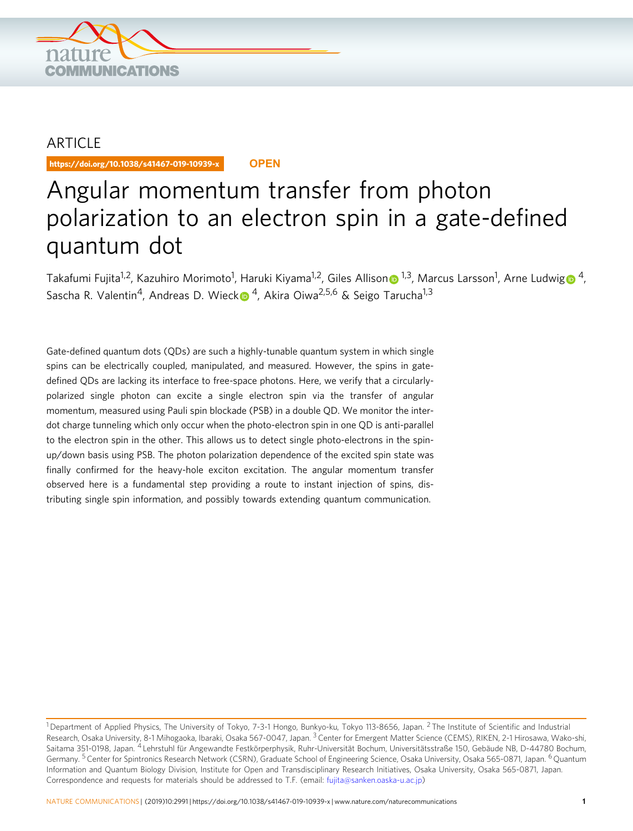

## ARTICLE

https://doi.org/10.1038/s41467-019-10939-x **OPEN**

# Angular momentum transfer from photon polarization to an electron spin in a gate-defined quantum dot

Takafumi Fujita<sup>1,2</sup>, Kazuhiro Morimoto<sup>1</sup>, Haruki Kiyama<sup>1,2</sup>, Giles Alliso[n](http://orcid.org/0000-0002-4810-092X)⋒ <sup>[1](http://orcid.org/0000-0002-4810-092X),3</sup>, Marcus Larsson<sup>1</sup>, Arne Ludwi[g](http://orcid.org/0000-0002-2871-7789)⋒ <sup>4</sup>, Sascha R. Valentin<sup>4</sup>, Andreas D. Wiec[k](http://orcid.org/0000-0001-9776-2922)  $\bullet$ <sup>4</sup>, Akira Oiwa<sup>2,5,6</sup> & Seigo Tarucha<sup>1,3</sup>

Gate-defined quantum dots (QDs) are such a highly-tunable quantum system in which single spins can be electrically coupled, manipulated, and measured. However, the spins in gatedefined QDs are lacking its interface to free-space photons. Here, we verify that a circularlypolarized single photon can excite a single electron spin via the transfer of angular momentum, measured using Pauli spin blockade (PSB) in a double QD. We monitor the interdot charge tunneling which only occur when the photo-electron spin in one QD is anti-parallel to the electron spin in the other. This allows us to detect single photo-electrons in the spinup/down basis using PSB. The photon polarization dependence of the excited spin state was finally confirmed for the heavy-hole exciton excitation. The angular momentum transfer observed here is a fundamental step providing a route to instant injection of spins, distributing single spin information, and possibly towards extending quantum communication.

<sup>&</sup>lt;sup>1</sup> Department of Applied Physics, The University of Tokyo, 7-3-1 Hongo, Bunkyo-ku, Tokyo 113-8656, Japan. <sup>2</sup> The Institute of Scientific and Industrial Research, Osaka University, 8-1 Mihogaoka, Ibaraki, Osaka 567-0047, Japan. <sup>3</sup> Center for Emergent Matter Science (CEMS), RIKEN, 2-1 Hirosawa, Wako-shi, Saitama 351-0198, Japan. <sup>4</sup> Lehrstuhl für Angewandte Festkörperphysik, Ruhr-Universität Bochum, Universitätsstraße 150, Gebäude NB, D-44780 Bochum, Germany. <sup>5</sup> Center for Spintronics Research Network (CSRN), Graduate School of Engineering Science, Osaka University, Osaka 565-0871, Japan. <sup>6</sup> Quantum Information and Quantum Biology Division, Institute for Open and Transdisciplinary Research Initiatives, Osaka University, Osaka 565-0871, Japan. Correspondence and requests for materials should be addressed to T.F. (email: [fujita@sanken.oaska-u.ac.jp](mailto:fujita@sanken.oaska-u.ac.jp))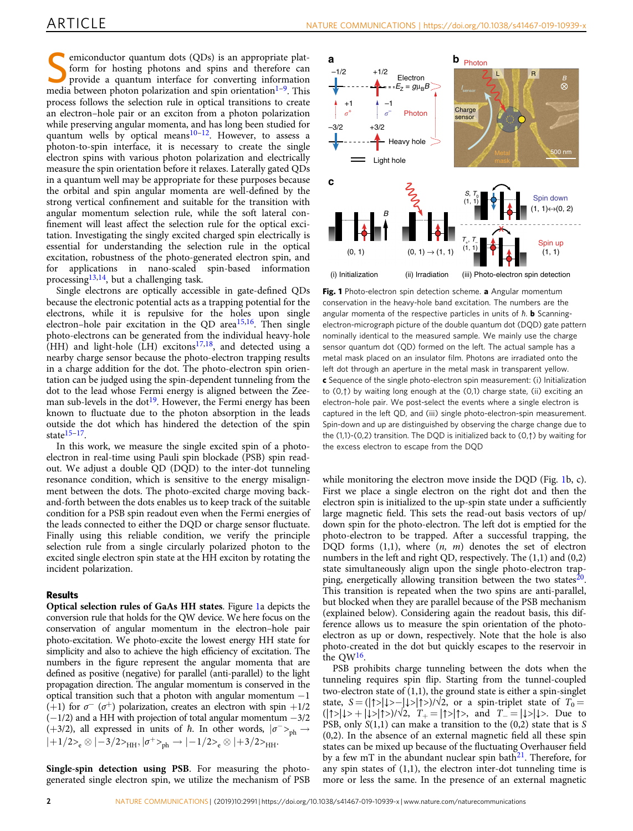<span id="page-1-0"></span>Semiconductor quantum dots (QDs) is an appropriate plat-<br>form for hosting photons and spins and therefore can<br>provide a quantum interface for converting information<br> $\frac{1}{2}$  This form for hosting photons and spins and therefore can media between photon polarization and spin orientation $1-9$  $1-9$  $1-9$ . This process follows the selection rule in optical transitions to create an electron–hole pair or an exciton from a photon polarization while preserving angular momenta, and has long been studied for quantum wells by optical means<sup>10–12</sup>. However, to assess a photon-to-spin interface, it is necessary to create the single electron spins with various photon polarization and electrically measure the spin orientation before it relaxes. Laterally gated QDs in a quantum well may be appropriate for these purposes because the orbital and spin angular momenta are well-defined by the strong vertical confinement and suitable for the transition with angular momentum selection rule, while the soft lateral confinement will least affect the selection rule for the optical excitation. Investigating the singly excited charged spin electrically is essential for understanding the selection rule in the optical excitation, robustness of the photo-generated electron spin, and for applications in nano-scaled spin-based information processing $13,14$ , but a challenging task.

Single electrons are optically accessible in gate-defined QDs because the electronic potential acts as a trapping potential for the electrons, while it is repulsive for the holes upon single electron–hole pair excitation in the QD area $15,16$  $15,16$ . Then single photo-electrons can be generated from the individual heavy-hole  $(HH)$  and light-hole (LH) excitons<sup>17,18</sup>, and detected using a nearby charge sensor because the photo-electron trapping results in a charge addition for the dot. The photo-electron spin orientation can be judged using the spin-dependent tunneling from the dot to the lead whose Fermi energy is aligned between the Zee-man sub-levels in the dot<sup>[19](#page-4-0)</sup>. However, the Fermi energy has been known to fluctuate due to the photon absorption in the leads outside the dot which has hindered the detection of the spin state $15-17$  $15-17$  $15-17$ .

In this work, we measure the single excited spin of a photoelectron in real-time using Pauli spin blockade (PSB) spin readout. We adjust a double QD (DQD) to the inter-dot tunneling resonance condition, which is sensitive to the energy misalignment between the dots. The photo-excited charge moving backand-forth between the dots enables us to keep track of the suitable condition for a PSB spin readout even when the Fermi energies of the leads connected to either the DQD or charge sensor fluctuate. Finally using this reliable condition, we verify the principle selection rule from a single circularly polarized photon to the excited single electron spin state at the HH exciton by rotating the incident polarization.

### Results

Optical selection rules of GaAs HH states. Figure 1a depicts the conversion rule that holds for the QW device. We here focus on the conservation of angular momentum in the electron–hole pair photo-excitation. We photo-excite the lowest energy HH state for simplicity and also to achieve the high efficiency of excitation. The numbers in the figure represent the angular momenta that are defined as positive (negative) for parallel (anti-parallel) to the light propagation direction. The angular momentum is conserved in the optical transition such that a photon with angular momentum −1 (+1) for  $\sigma^-$  ( $\sigma^+$ ) polarization, creates an electron with spin +1/2 (−1/2) and a HH with projection of total angular momentum −3/2 (+3/2), all expressed in units of  $\hbar$ . In other words,  $|\sigma >_{\text{ph}} \rightarrow$  $|+1/2\rangle_e \otimes |-3/2\rangle_{\rm HH}, |\sigma^+\rangle_{\rm ph} \rightarrow |-1/2\rangle_e \otimes |+3/2\rangle_{\rm HH}.$ 

Single-spin detection using PSB. For measuring the photogenerated single electron spin, we utilize the mechanism of PSB



Fig. 1 Photo-electron spin detection scheme. a Angular momentum conservation in the heavy-hole band excitation. The numbers are the angular momenta of the respective particles in units of  $\hbar$ . **b** Scanningelectron-micrograph picture of the double quantum dot (DQD) gate pattern nominally identical to the measured sample. We mainly use the charge sensor quantum dot (QD) formed on the left. The actual sample has a metal mask placed on an insulator film. Photons are irradiated onto the left dot through an aperture in the metal mask in transparent yellow. c Sequence of the single photo-electron spin measurement: (i) Initialization to (0,↑) by waiting long enough at the (0,1) charge state, (ii) exciting an electron–hole pair. We post-select the events where a single electron is captured in the left QD, and (iii) single photo-electron-spin measurement. Spin-down and up are distinguished by observing the charge change due to the (1,1)-(0,2) transition. The DQD is initialized back to (0,↑) by waiting for the excess electron to escape from the DQD

while monitoring the electron move inside the DQD (Fig. 1b, c). First we place a single electron on the right dot and then the electron spin is initialized to the up-spin state under a sufficiently large magnetic field. This sets the read-out basis vectors of up/ down spin for the photo-electron. The left dot is emptied for the photo-electron to be trapped. After a successful trapping, the DQD forms  $(1,1)$ , where  $(n, m)$  denotes the set of electron numbers in the left and right QD, respectively. The (1,1) and (0,2) state simultaneously align upon the single photo-electron trapping, energetically allowing transition between the two states<sup>20</sup>. This transition is repeated when the two spins are anti-parallel, but blocked when they are parallel because of the PSB mechanism (explained below). Considering again the readout basis, this difference allows us to measure the spin orientation of the photoelectron as up or down, respectively. Note that the hole is also photo-created in the dot but quickly escapes to the reservoir in the  $\text{OW}^{16}$  $\text{OW}^{16}$  $\text{OW}^{16}$ .

PSB prohibits charge tunneling between the dots when the tunneling requires spin flip. Starting from the tunnel-coupled two-electron state of (1,1), the ground state is either a spin-singlet state, S = (|↑>|↓>-|↓>|↑>)/ $\sqrt{2}$ , or a spin-triplet state of  $T_0$  =  $(|\uparrow\rangle|\downarrow\rangle + |\downarrow\rangle|\uparrow\rangle)/\sqrt{2}$ ,  $T_{+} = |\uparrow\rangle|\uparrow\rangle$ , and  $T_{-} = |\downarrow\rangle|\downarrow\rangle$ . Due to PSB, only  $S(1,1)$  can make a transition to the  $(0,2)$  state that is S (0,2). In the absence of an external magnetic field all these spin states can be mixed up because of the fluctuating Overhauser field by a few mT in the abundant nuclear spin bath<sup>21</sup>. Therefore, for any spin states of  $(1,1)$ , the electron inter-dot tunneling time is more or less the same. In the presence of an external magnetic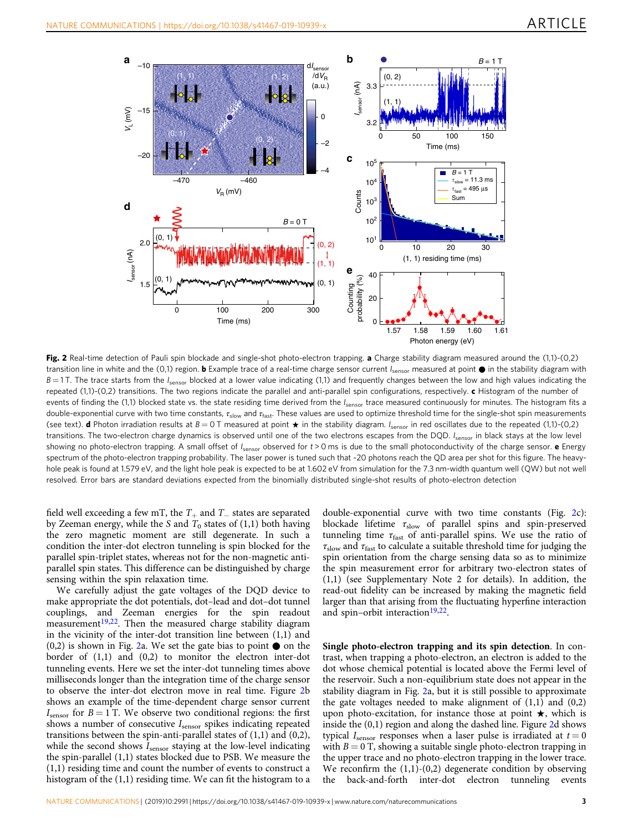<span id="page-2-0"></span>

Fig. 2 Real-time detection of Pauli spin blockade and single-shot photo-electron trapping. a Charge stability diagram measured around the (1,1)-(0,2) transition line in white and the (0,1) region. **b** Example trace of a real-time charge sensor current  $I_{\text{sensor}}$  measured at point  $\bullet$  in the stability diagram with  $B = 1$  T. The trace starts from the  $I_{\text{sensor}}$  blocked at a lower value indicating (1,1) and frequently changes between the low and high values indicating the repeated  $(1,1)-(0,2)$  transitions. The two regions indicate the parallel and anti-parallel spin configurations, respectively. c Histogram of the number of events of finding the (1,1) blocked state vs. the state residing time derived from the I<sub>sensor</sub> trace measured continuously for minutes. The histogram fits a double-exponential curve with two time constants,  $\tau_{slow}$  and  $\tau_{fast}$ . These values are used to optimize threshold time for the single-shot spin measurements (see text). **d** Photon irradiation results at  $B = 0$  T measured at point  $\star$  in the stability diagram.  $I_{\text{sensor}}$  in red oscillates due to the repeated (1,1)-(0,2) transitions. The two-electron charge dynamics is observed until one of the two electrons escapes from the DQD.  $I_{\text{sensor}}$  in black stays at the low level showing no photo-electron trapping. A small offset of  $I_{\text{sensor}}$  observed for  $t > 0$  ms is due to the small photoconductivity of the charge sensor. e Energy spectrum of the photo-electron trapping probability. The laser power is tuned such that ~20 photons reach the QD area per shot for this figure. The heavyhole peak is found at 1.579 eV, and the light hole peak is expected to be at 1.602 eV from simulation for the 7.3 nm-width quantum well (QW) but not well resolved. Error bars are standard deviations expected from the binomially distributed single-shot results of photo-electron detection

field well exceeding a few mT, the  $T_+$  and  $T_$  states are separated by Zeeman energy, while the S and  $T_0$  states of (1,1) both having the zero magnetic moment are still degenerate. In such a condition the inter-dot electron tunneling is spin blocked for the parallel spin-triplet states, whereas not for the non-magnetic antiparallel spin states. This difference can be distinguished by charge sensing within the spin relaxation time.

We carefully adjust the gate voltages of the DQD device to make appropriate the dot potentials, dot–lead and dot–dot tunnel couplings, and Zeeman energies for the spin readout measurement<sup>19,22</sup>. Then the measured charge stability diagram in the vicinity of the inter-dot transition line between (1,1) and  $(0,2)$  is shown in Fig. 2a. We set the gate bias to point  $\bullet$  on the border of (1,1) and (0,2) to monitor the electron inter-dot tunneling events. Here we set the inter-dot tunneling times above milliseconds longer than the integration time of the charge sensor to observe the inter-dot electron move in real time. Figure 2b shows an example of the time-dependent charge sensor current  $I_{\text{sensor}}$  for  $B = 1$  T. We observe two conditional regions: the first shows a number of consecutive  $I_{\text{sensor}}$  spikes indicating repeated transitions between the spin-anti-parallel states of  $(1,1)$  and  $(0,2)$ , while the second shows  $I_{\text{sensor}}$  staying at the low-level indicating the spin-parallel (1,1) states blocked due to PSB. We measure the (1,1) residing time and count the number of events to construct a histogram of the (1,1) residing time. We can fit the histogram to a

double-exponential curve with two time constants (Fig. 2c): blockade lifetime  $\tau_{slow}$  of parallel spins and spin-preserved tunneling time  $\tau_{\text{fast}}$  of anti-parallel spins. We use the ratio of  $\tau_{\text{slow}}$  and  $\tau_{\text{fast}}$  to calculate a suitable threshold time for judging the spin orientation from the charge sensing data so as to minimize the spin measurement error for arbitrary two-electron states of (1,1) (see Supplementary Note 2 for details). In addition, the read-out fidelity can be increased by making the magnetic field larger than that arising from the fluctuating hyperfine interaction and spin–orbit interaction<sup>[19,22](#page-4-0)</sup>.

Single photo-electron trapping and its spin detection. In contrast, when trapping a photo-electron, an electron is added to the dot whose chemical potential is located above the Fermi level of the reservoir. Such a non-equilibrium state does not appear in the stability diagram in Fig. 2a, but it is still possible to approximate the gate voltages needed to make alignment of  $(1,1)$  and  $(0,2)$ upon photo-excitation, for instance those at point ★, which is inside the (0,1) region and along the dashed line. Figure 2d shows typical  $I_{\text{sensor}}$  responses when a laser pulse is irradiated at  $t = 0$ with  $B = 0$  T, showing a suitable single photo-electron trapping in the upper trace and no photo-electron trapping in the lower trace. We reconfirm the  $(1,1)-(0,2)$  degenerate condition by observing the back-and-forth inter-dot electron tunneling events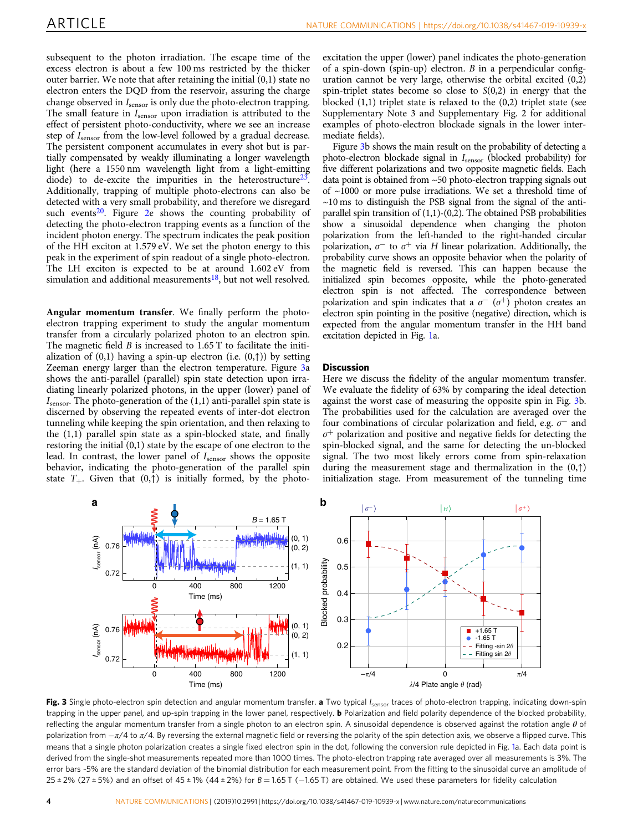subsequent to the photon irradiation. The escape time of the excess electron is about a few 100 ms restricted by the thicker outer barrier. We note that after retaining the initial (0,1) state no electron enters the DQD from the reservoir, assuring the charge change observed in  $I_{\text{sensor}}$  is only due the photo-electron trapping. The small feature in  $I_{\text{sensor}}$  upon irradiation is attributed to the effect of persistent photo-conductivity, where we see an increase step of  $I_{\text{sensor}}$  from the low-level followed by a gradual decrease. The persistent component accumulates in every shot but is partially compensated by weakly illuminating a longer wavelength light (here a 1550 nm wavelength light from a light-emitting diode) to de-excite the impurities in the heterostructure<sup>23</sup>. Additionally, trapping of multiple photo-electrons can also be detected with a very small probability, and therefore we disregard such events<sup>20</sup>. Figure [2e](#page-2-0) shows the counting probability of detecting the photo-electron trapping events as a function of the incident photon energy. The spectrum indicates the peak position of the HH exciton at 1.579 eV. We set the photon energy to this peak in the experiment of spin readout of a single photo-electron. The LH exciton is expected to be at around 1.602 eV from simulation and additional measurements $18$ , but not well resolved.

Angular momentum transfer. We finally perform the photoelectron trapping experiment to study the angular momentum transfer from a circularly polarized photon to an electron spin. The magnetic field  $B$  is increased to 1.65 T to facilitate the initialization of  $(0,1)$  having a spin-up electron (i.e.  $(0, \uparrow)$ ) by setting Zeeman energy larger than the electron temperature. Figure 3a shows the anti-parallel (parallel) spin state detection upon irradiating linearly polarized photons, in the upper (lower) panel of  $I_{\text{sensor}}$ . The photo-generation of the  $(1,1)$  anti-parallel spin state is discerned by observing the repeated events of inter-dot electron tunneling while keeping the spin orientation, and then relaxing to the (1,1) parallel spin state as a spin-blocked state, and finally restoring the initial (0,1) state by the escape of one electron to the lead. In contrast, the lower panel of  $I_{\text{sensor}}$  shows the opposite behavior, indicating the photo-generation of the parallel spin state  $T_{+}$ . Given that  $(0, \uparrow)$  is initially formed, by the photoexcitation the upper (lower) panel indicates the photo-generation of a spin-down (spin-up) electron.  $B$  in a perpendicular configuration cannot be very large, otherwise the orbital excited  $(0,2)$ spin-triplet states become so close to  $S(0,2)$  in energy that the blocked (1,1) triplet state is relaxed to the (0,2) triplet state (see Supplementary Note 3 and Supplementary Fig. 2 for additional examples of photo-electron blockade signals in the lower intermediate fields).

Figure 3b shows the main result on the probability of detecting a photo-electron blockade signal in  $I_{\text{sensor}}$  (blocked probability) for five different polarizations and two opposite magnetic fields. Each data point is obtained from ~50 photo-electron trapping signals out of ~1000 or more pulse irradiations. We set a threshold time of  $\sim$ 10 ms to distinguish the PSB signal from the signal of the antiparallel spin transition of  $(1,1)-(0,2)$ . The obtained PSB probabilities show a sinusoidal dependence when changing the photon polarization from the left-handed to the right-handed circular polarization,  $\sigma^-$  to  $\sigma^+$  via H linear polarization. Additionally, the probability curve shows an opposite behavior when the polarity of the magnetic field is reversed. This can happen because the initialized spin becomes opposite, while the photo-generated electron spin is not affected. The correspondence between polarization and spin indicates that a  $\sigma^{-}$  ( $\sigma^{+}$ ) photon creates an electron spin pointing in the positive (negative) direction, which is expected from the angular momentum transfer in the HH band excitation depicted in Fig. [1](#page-1-0)a.

#### **Discussion**

Here we discuss the fidelity of the angular momentum transfer. We evaluate the fidelity of 63% by comparing the ideal detection against the worst case of measuring the opposite spin in Fig. 3b. The probabilities used for the calculation are averaged over the four combinations of circular polarization and field, e.g.  $\sigma^-$  and  $\sigma^+$  polarization and positive and negative fields for detecting the spin-blocked signal, and the same for detecting the un-blocked signal. The two most likely errors come from spin-relaxation during the measurement stage and thermalization in the (0,↑) initialization stage. From measurement of the tunneling time



Fig. 3 Single photo-electron spin detection and angular momentum transfer. a Two typical I<sub>sensor</sub> traces of photo-electron trapping, indicating down-spin trapping in the upper panel, and up-spin trapping in the lower panel, respectively. **b** Polarization and field polarity dependence of the blocked probability, reflecting the angular momentum transfer from a single photon to an electron spin. A sinusoidal dependence is observed against the rotation angle  $\theta$  of polarization from  $-\pi/4$  to  $\pi/4$ . By reversing the external magnetic field or reversing the polarity of the spin detection axis, we observe a flipped curve. This means that a single photon polarization creates a single fixed electron spin in the dot, following the conversion rule depicted in Fig. [1a](#page-1-0). Each data point is derived from the single-shot measurements repeated more than 1000 times. The photo-electron trapping rate averaged over all measurements is 3%. The error bars ~5% are the standard deviation of the binomial distribution for each measurement point. From the fitting to the sinusoidal curve an amplitude of  $25 \pm 2\%$  (27  $\pm 5\%$ ) and an offset of 45  $\pm 1\%$  (44  $\pm 2\%$ ) for  $B = 1.65$  T (-1.65 T) are obtained. We used these parameters for fidelity calculation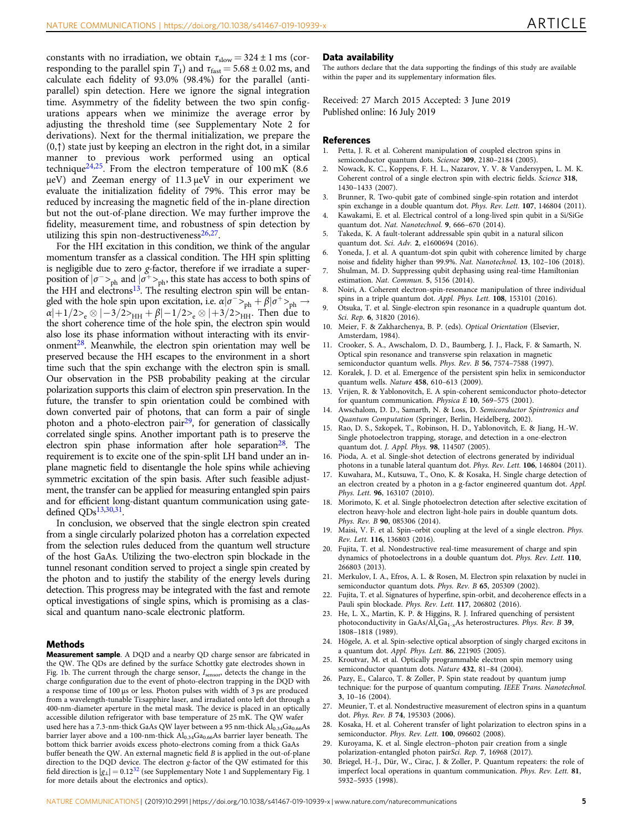<span id="page-4-0"></span>constants with no irradiation, we obtain  $\tau_{slow} = 324 \pm 1$  ms (corresponding to the parallel spin  $T_1$ ) and  $\tau_{\text{fast}} = 5.68 \pm 0.02$  ms, and calculate each fidelity of 93.0% (98.4%) for the parallel (antiparallel) spin detection. Here we ignore the signal integration time. Asymmetry of the fidelity between the two spin configurations appears when we minimize the average error by adjusting the threshold time (see Supplementary Note 2 for derivations). Next for the thermal initialization, we prepare the  $(0, \uparrow)$  state just by keeping an electron in the right dot, in a similar manner to previous work performed using an optical technique<sup>24,25</sup>. From the electron temperature of 100 mK (8.6) μeV) and Zeeman energy of 11.3 μeV in our experiment we evaluate the initialization fidelity of 79%. This error may be reduced by increasing the magnetic field of the in-plane direction but not the out-of-plane direction. We may further improve the fidelity, measurement time, and robustness of spin detection by utilizing this spin non-destructiveness $26,27$ .

For the HH excitation in this condition, we think of the angular momentum transfer as a classical condition. The HH spin splitting is negligible due to zero g-factor, therefore if we irradiate a superposition of  $|\sigma^{\text{+}}\rangle_{\text{ph}}$  and  $|\sigma^{\text{+}}\rangle_{\text{ph}}$ , this state has access to both spins of the HH and electrons<sup>13</sup>. The resulting electron spin will be entangled with the hole spin upon excitation, i.e.  $\alpha | \sigma^{-} >_{\text{ph}} + \beta | \sigma^{+} >_{\text{ph}} \rightarrow$  $\alpha|+1/2\rangle_e \otimes |-3/2\rangle_{HH} + \beta|-1/2\rangle_e \otimes |+3/2\rangle_{HH}$ . Then due to the short coherence time of the hole spin, the electron spin would also lose its phase information without interacting with its environment<sup>28</sup>. Meanwhile, the electron spin orientation may well be preserved because the HH escapes to the environment in a short time such that the spin exchange with the electron spin is small. Our observation in the PSB probability peaking at the circular polarization supports this claim of electron spin preservation. In the future, the transfer to spin orientation could be combined with down converted pair of photons, that can form a pair of single photon and a photo-electron pair<sup>29</sup>, for generation of classically correlated single spins. Another important path is to preserve the electron spin phase information after hole separation<sup>28</sup>. The requirement is to excite one of the spin-split LH band under an inplane magnetic field to disentangle the hole spins while achieving symmetric excitation of the spin basis. After such feasible adjustment, the transfer can be applied for measuring entangled spin pairs and for efficient long-distant quantum communication using gatedefined QDs13,30[,31.](#page-5-0)

In conclusion, we observed that the single electron spin created from a single circularly polarized photon has a correlation expected from the selection rules deduced from the quantum well structure of the host GaAs. Utilizing the two-electron spin blockade in the tunnel resonant condition served to project a single spin created by the photon and to justify the stability of the energy levels during detection. This progress may be integrated with the fast and remote optical investigations of single spins, which is promising as a classical and quantum nano-scale electronic platform.

#### Methods

Measurement sample. A DQD and a nearby QD charge sensor are fabricated in the QW. The QDs are defined by the surface Schottky gate electrodes shown in Fig. [1b](#page-1-0). The current through the charge sensor,  $I_{\text{sensor}}$  detects the change in the charge configuration due to the event of photo-electron trapping in the DQD with a response time of 100 μs or less. Photon pulses with width of 3 ps are produced from a wavelength-tunable Ti:sapphire laser, and irradiated onto left dot through a 400-nm-diameter aperture in the metal mask. The device is placed in an optically accessible dilution refrigerator with base temperature of 25 mK. The QW wafer used here has a 7.3-nm-thick GaAs QW layer between a 95 nm-thick  $\mathrm{Al}_{0.34}\mathrm{Ga}_{0.66}\mathrm{As}$ barrier layer above and a 100-nm-thick  $Al_{0.34}Ga_{0.66}As$  barrier layer beneath. The bottom thick barrier avoids excess photo-electrons coming from a thick GaAs buffer beneath the QW. An external magnetic field B is applied in the out-of-plane direction to the DQD device. The electron g-factor of the QW estimated for this field direction is  $|g_{\perp}| = 0.12^{32}$  $|g_{\perp}| = 0.12^{32}$  $|g_{\perp}| = 0.12^{32}$  (see Supplementary Note 1 and Supplementary Fig. 1 for more details about the electronics and optics).

#### Data availability

The authors declare that the data supporting the findings of this study are available within the paper and its supplementary information files.

Received: 27 March 2015 Accepted: 3 June 2019

#### **References**

- 1. Petta, J. R. et al. Coherent manipulation of coupled electron spins in semiconductor quantum dots. Science 309, 2180-2184 (2005).
- 2. Nowack, K. C., Koppens, F. H. L., Nazarov, Y. V. & Vandersypen, L. M. K. Coherent control of a single electron spin with electric fields. Science 318, 1430–1433 (2007).
- 3. Brunner, R. Two-qubit gate of combined single-spin rotation and interdot spin exchange in a double quantum dot. Phys. Rev. Lett. 107, 146804 (2011).
- Kawakami, E. et al. Electrical control of a long-lived spin qubit in a Si/SiGe quantum dot. Nat. Nanotechnol. 9, 666–670 (2014).
- 5. Takeda, K. A fault-tolerant addressable spin qubit in a natural silicon quantum dot. Sci. Adv. 2, e1600694 (2016).
- 6. Yoneda, J. et al. A quantum-dot spin qubit with coherence limited by charge noise and fidelity higher than 99.9%. Nat. Nanotechnol. 13, 102–106 (2018).
- Shulman, M. D. Suppressing qubit dephasing using real-time Hamiltonian estimation. Nat. Commun. 5, 5156 (2014).
- 8. Noiri, A. Coherent electron-spin-resonance manipulation of three individual spins in a triple quantum dot. Appl. Phys. Lett. 108, 153101 (2016).
- 9. Otsuka, T. et al. Single-electron spin resonance in a quadruple quantum dot. Sci. Rep. 6, 31820 (2016).
- 10. Meier, F. & Zakharchenya, B. P. (eds). Optical Orientation (Elsevier, Amsterdam, 1984).
- 11. Crooker, S. A., Awschalom, D. D., Baumberg, J. J., Flack, F. & Samarth, N. Optical spin resonance and transverse spin relaxation in magnetic semiconductor quantum wells. Phys. Rev. B 56, 7574–7588 (1997).
- 12. Koralek, J. D. et al. Emergence of the persistent spin helix in semiconductor quantum wells. Nature 458, 610–613 (2009).
- 13. Vrijen, R. & Yablonovitch, E. A spin-coherent semiconductor photo-detector for quantum communication. Physica E 10, 569–575 (2001).
- 14. Awschalom, D. D., Samarth, N. & Loss, D. Semiconductor Spintronics and Quantum Computation (Springer, Berlin, Heidelberg, 2002).
- 15. Rao, D. S., Szkopek, T., Robinson, H. D., Yablonovitch, E. & Jiang, H.-W. Single photoelectron trapping, storage, and detection in a one-electron quantum dot. J. Appl. Phys. 98, 114507 (2005).
- 16. Pioda, A. et al. Single-shot detection of electrons generated by individual photons in a tunable lateral quantum dot. Phys. Rev. Lett. 106, 146804 (2011).
- 17. Kuwahara, M., Kutsuwa, T., Ono, K. & Kosaka, H. Single charge detection of an electron created by a photon in a g-factor engineered quantum dot. Appl. Phys. Lett. 96, 163107 (2010).
- 18. Morimoto, K. et al. Single photoelectron detection after selective excitation of electron heavy-hole and electron light-hole pairs in double quantum dots. Phys. Rev. B 90, 085306 (2014).
- 19. Maisi, V. F. et al. Spin–orbit coupling at the level of a single electron. Phys. Rev. Lett. 116, 136803 (2016).
- 20. Fujita, T. et al. Nondestructive real-time measurement of charge and spin dynamics of photoelectrons in a double quantum dot. Phys. Rev. Lett. 110, 266803 (2013).
- 21. Merkulov, I. A., Efros, A. L. & Rosen, M. Electron spin relaxation by nuclei in semiconductor quantum dots. Phys. Rev. B 65, 205309 (2002).
- Fujita, T. et al. Signatures of hyperfine, spin-orbit, and decoherence effects in a Pauli spin blockade. Phys. Rev. Lett. 117, 206802 (2016).
- 23. He, L. X., Martin, K. P. & Higgins, R. J. Infrared quenching of persistent photoconductivity in GaAs/Al<sub>x</sub>Ga<sub>1-x</sub>As heterostructures. Phys. Rev. B 39, 1808–1818 (1989).
- 24. Högele, A. et al. Spin-selective optical absorption of singly charged excitons in a quantum dot. Appl. Phys. Lett. 86, 221905 (2005).
- 25. Kroutvar, M. et al. Optically programmable electron spin memory using semiconductor quantum dots. Nature 432, 81–84 (2004).
- 26. Pazy, E., Calarco, T. & Zoller, P. Spin state readout by quantum jump technique: for the purpose of quantum computing. IEEE Trans. Nanotechnol. 3, 10–16 (2004).
- 27. Meunier, T. et al. Nondestructive measurement of electron spins in a quantum dot. Phys. Rev. B 74, 195303 (2006).
- 28. Kosaka, H. et al. Coherent transfer of light polarization to electron spins in a semiconductor. Phys. Rev. Lett. 100, 096602 (2008).
- 29. Kuroyama, K. et al. Single electron–photon pair creation from a single polarization-entangled photon pairSci. Rep. 7, 16968 (2017).
- 30. Briegel, H.-J., Dür, W., Cirac, J. & Zoller, P. Quantum repeaters: the role of imperfect local operations in quantum communication. Phys. Rev. Lett. 81, 5932–5935 (1998).